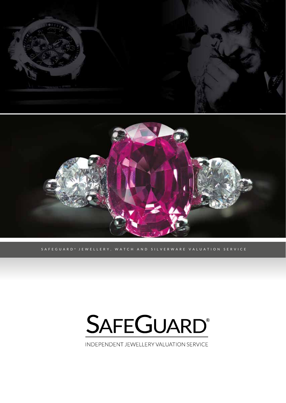

SAFEGUARD<sup>®</sup> JEWELLERY, WATCH AND SILVERWARE VALUATION SERVICE

# **SAFEGUARD®**

INDEPENDENT JEWELLERY VALUATION SERVICE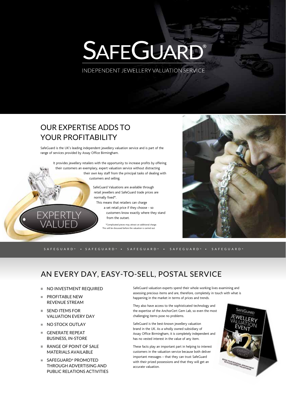# SAFEGUARD®

INDEPENDENT JEWELLERY VALUATION SERVICE

## OUR EXPERTISE ADDS TO YOUR PROFITABILITY

SafeGuard is the UK's leading independent jewellery valuation service and is part of the range of services provided by Assay Office Birmingham.

It provides jewellery retailers with the opportunity to increase profits by offering their customers an exemplary, expert valuation service without distracting their own key staff from the principal tasks of dealing with

customers and selling.

SafeGuard Valuations are available through retail jewellers and SafeGuard trade prices are normally fixed\*.

This means that retailers can charge a set retail price if they choose - so

customers know exactly where they stand from the outset.

\*Complicated pieces may attract an additional charge. This will be discussed before the valuation is carried out.



SAFEGUARD ® SAFEGUARD ® SAFEGUARD ® SAFEGUARD ® SAFEGUARD ®

### AN EVERY DAY, EASY-TO-SELL, POSTAL SERVICE

- NO INVESTMENT REQUIRED
- **PROFITABLE NEW** REVENUE STREAM
- **SEND ITEMS FOR** VALUATION EVERY DAY
- NO STOCK OUTLAY
- GENERATE REPEAT BUSINESS, IN-STORE
- RANGE OF POINT OF SALE MATERIALS AVAILABLE
- SAFEGUARD® PROMOTED THROUGH ADVERTISING AND PUBLIC RELATIONS ACTIVITIES

SafeGuard valuation experts spend their whole working lives examining and assessing precious items and are, therefore, completely in touch with what is happening in the market in terms of prices and trends.

They also have access to the sophisticated technology and the expertise of the AnchorCert Gem Lab, so even the most challenging items pose no problems.

SafeGuard is the best-known jewellery valuation brand in the UK. As a wholly owned subsidiary of Assay Office Birmingham, it is completely independent and has no vested interest in the value of any item.

These facts play an important part in helping to interest customers in the valuation service because both deliver important messages – that they can trust SafeGuard with their prized possessions and that they will get an accurate valuation.

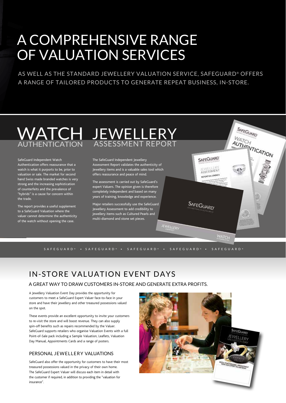# A COMPREHENSIVE RANGE OF VALUATION SERVICES

AS WELL AS THE STANDARD JEWELLERY VALUATION SERVICE, SAFEGUARD® OFFERS A RANGE OF TAILORED PRODUCTS TO GENERATE REPEAT BUSINESS, IN-STORE.

#### **WATCH** AUTHENTICATION **JEWELLERY** ASSESSMENT REPORT

SafeGuard Independent Watch Authentication offers reassurance that a watch is what it purports to be, prior to valuation or sale. The market for second hand Swiss made branded watches is very strong and the increasing sophistication of counterfeits and the prevalence of "hybrids" is a cause for concern within the trade.

The report provides a useful supplement to a SafeGuard Valuation where the valuer cannot determine the authenticity of the watch without opening the case.

The SafeGuard Independent Jewellery Assessment Report validates the authenticity of Jewellery items and is a valuable sales tool which offers reassurance and peace of mind.

The assessment is carried out by SafeGuard's expert Valuers. The opinion given is therefore completely independent and based on many years of training, knowledge and experience.

Major retailers successfully use the SafeGuard Jewellery Assessment to add credibility to jewellery items such as Cultured Pearls and multi-diamond and stone set pieces.

SAFEGUARD ® SAFEGUARD ® SAFEGUARD ® SAFEGUARD ® SAFEGUARD ®

EWELLERY

## IN-STORE VALUATION EVENT DAYS

A GREAT WAY TO DRAW CUSTOMERS IN-STORE AND GENERATE EXTRA PROFITS.

A Jewellery Valuation Event Day provides the opportunity for customers to meet a SafeGuard Expert Valuer face-to-face in your store and have their jewellery and other treasured possessions valued on the spot.

These events provide an excellent opportunity to invite your customers to re-visit the store and will boost revenue. They can also supply spin-off benefits such as repairs recommended by the Valuer. SafeGuard supports retailers who organise Valuation Events with a full Point-of-Sale pack including a Sample Valuation, Leaflets, Valuation Day Manual, Appointments Cards and a range of posters.

#### PERSONAL JEWELLERY VALUATIONS

SafeGuard also offer the opportunity for customers to have their most treasured possessions valued in the privacy of their own home. The SafeGuard Expert Valuer will discuss each item in detail with the customer if required, in addition to providing the "valuation for insurance".



SAFEGUARD

**SAFEGUARD** 

EWELLERT REPORT NO. 238063/7

**WATCH** 

SAFEGUARD

WATCH<br>AUTHENTICATION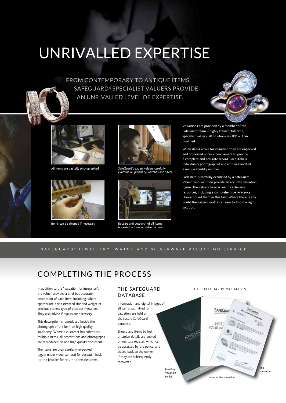# UNRIVALLED EXPERTISE

FROM CONTEMPORARY TO ANTIQUE ITEMS, SAFEGUARD® SPECIALIST VALUERS PROVIDE AN UNRIVALLED LEVEL OF EXPERTISE.





All items are digitally photographed



Items can be cleaned if necessary



SafeGuard's expert valuers carefully examine all jewellery, watches and silver



Receipt and despatch of all items is carried out under video camera

Valuations are provided by a member of the SafeGuard team – highly trained, full time, specialist valuers, all of whom are IRV or FGA qualified.

When items arrive for valuation they are unpacked and processed under video camera to provide a complete and accurate record. Each item is individually photographed and is then allocated a unique identity number.

Each item is carefully examined by a SafeGuard Valuer, who will then provide an accurate valuation figure. The valuers have access to extensive resources, including a comprehensive reference library, to aid them in this task. Where there is any doubt the valuers work as a team to find the right solution.

#### SAFEGUARD ® JEWELLERY, WATCH AND SILVERWARE VALUATION SERVICE

### COMPLETING THE PROCESS

In addition to the "valuation for insurance", the valuer provides a brief but accurate description of each item, including, where appropriate, the estimated size and weight of precious stones, type of precious metal etc. They also advise if repairs are necessary.

This description is reproduced beside the photograph of the item on high quality stationery. Where a customer has submitted multiple items, all descriptions and photographs are reproduced on one high quality document.

The items are then carefully re-packed (again under video camera) for despatch back to the jeweller for return to the customer.

#### THE SAFEGUARD DATABASE

Information and digital images of all items submitted for valuation are held on the secure SafeGuard database.

Should any items be lost or stolen details are posted on our loss register, which can be accessed by the police, and traced back to the owner if they are subsequently recovered.

> Jewellery Valuation Folder

#### THE SAFEGUARD® VALUATION